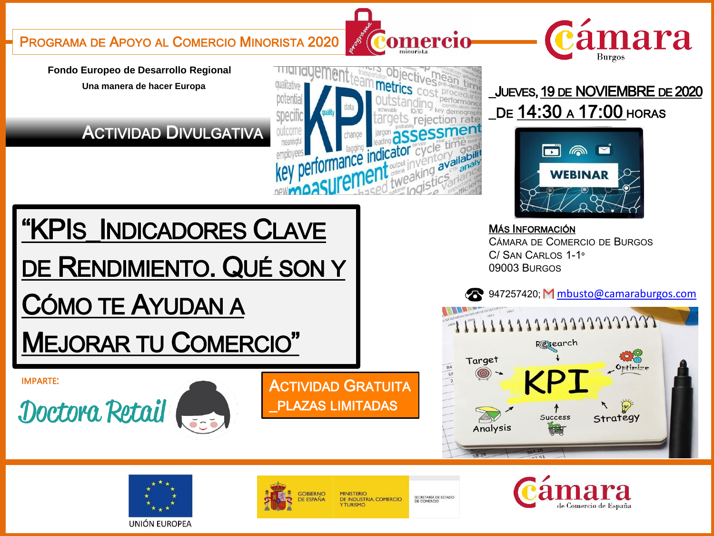PROGRAMA DE APOYO AL COMERCIO MINORISTA 2020

Fondo Europeo de Desarrollo Regional Una manera de hacer Europa

CÓMO TE AYUDAN A

**IMPARTE:** 

Doctora Retail

### **ACTIVIDAD DIVULGATIVA**

"KPIS\_INDICADORES CLAVE

DE RENDIMIENTO. QUÉ SON Y



Comercio



## \_JUEVES, 19 DE NOVIEMBRE DE 2020 De 14:30 a 17:00 horas



**MÁS INFORMACIÓN** CÁMARA DE COMERCIO DE BURGOS C/ SAN CARLOS 1-1° 09003 BURGOS

8947257420; M mbusto@camaraburgos.com







**MEJORAR TU COMERCIO"** 



MINISTERIO DE INDUSTRIA, COMERCIO

**ACTIVIDAD GRATUITA** 

**PLAZAS LIMITADAS** 

SECRETARÍA DE ESTADO<br>DE COMERCIO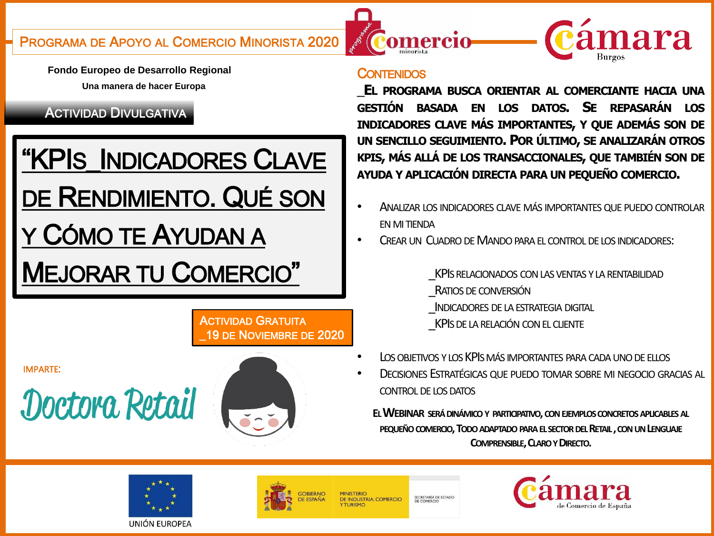cámara

**Fondo Europeo de Desarrollo Regional Una manera de hacer Europa**

### ACTIVIDAD DIVULGATIVA

# "KPIS\_INDICADORES CLAVE DE RENDIMIENTO. QUÉ SON CÓMO TE AYUDAN A MEJORAR TU COMERCIO"

ACTIVIDAD GRATUITA \_19 DE NOVIEMBRE DE 2020

IMPARTE:

Doctora Retail



#### **CONTENIDOS**

Comercio

\_**EL PROGRAMA BUSCA ORIENTAR AL COMERCIANTE HACIA UNA GESTIÓN BASADA EN LOS DATOS. SE REPASARÁN LOS INDICADORES CLAVE MÁS IMPORTANTES, Y QUE ADEMÁS SON DE UN SENCILLO SEGUIMIENTO. POR ÚLTIMO, SE ANALIZARÁN OTROS KPIS, MÁS ALLÁ DE LOS TRANSACCIONALES, QUE TAMBIÉN SON DE AYUDA Y APLICACIÓN DIRECTA PARA UN PEQUEÑO COMERCIO.**

- ANALIZAR LOS INDICADORES CLAVE MÁS IMPORTANTES QUE PUEDO CONTROLAR **EN MI TIENDA**
- CREAR UN CUADRO DE MANDO PARA EL CONTROL DE LOS INDICADORES:

KPIS RELACIONADOS CON LAS VENTAS Y LA RENTABILIDAD

- RATIOS DE CONVERSIÓN
- INDICADORES DE LA ESTRATEGIA DIGITAL
- KPIS DE LA RELACIÓN CON EL CLIENTE
- LOS OBJETIVOS Y LOS KPIS MÁS IMPORTANTES PARA CADA UNO DE ELLOS
- DECISIONES ESTRATÉGICAS QUE PUEDO TOMAR SOBRE MI NEGOCIO GRACIAS AL CONTROL DE LOS DATOS

**EL WEBINAR SERÁDINÁMICO Y PARTICIPATIVO, CON EJEMPLOS CONCRETOS APLICABLES AL PEQUEÑOCOMERCIO, TODOADAPTADOPARAELSECTORDELRETAIL, CONUNLENGUAJE COMPRENSIBLE, CLAROYDIRECTO.**





**DE INDUSTRIA, COMERCIO** 

SECRETARÍA DE ESTADO<br>DE COMERCIO